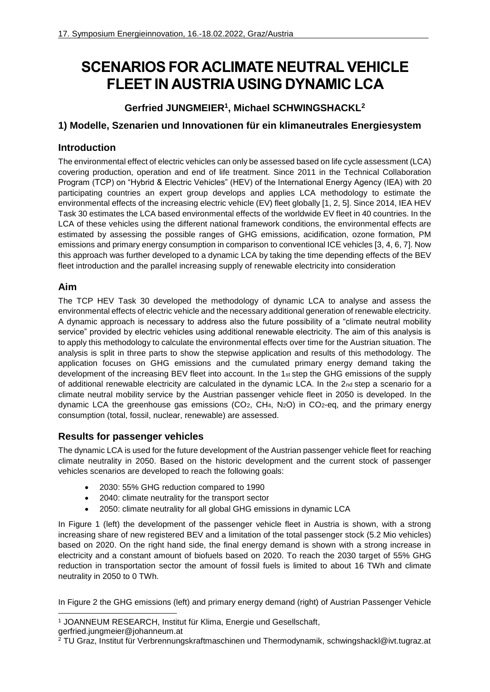# **SCENARIOS FOR ACLIMATE NEUTRAL VEHICLE FLEET IN AUSTRIA USING DYNAMIC LCA**

### **Gerfried JUNGMEIER<sup>1</sup> , Michael SCHWINGSHACKL<sup>2</sup>**

#### **1) Modelle, Szenarien und Innovationen für ein klimaneutrales Energiesystem**

#### **Introduction**

The environmental effect of electric vehicles can only be assessed based on life cycle assessment (LCA) covering production, operation and end of life treatment. Since 2011 in the Technical Collaboration Program (TCP) on "Hybrid & Electric Vehicles" (HEV) of the International Energy Agency (IEA) with 20 participating countries an expert group develops and applies LCA methodology to estimate the environmental effects of the increasing electric vehicle (EV) fleet globally [1, 2, 5]. Since 2014, IEA HEV Task 30 estimates the LCA based environmental effects of the worldwide EV fleet in 40 countries. In the LCA of these vehicles using the different national framework conditions, the environmental effects are estimated by assessing the possible ranges of GHG emissions, acidification, ozone formation, PM emissions and primary energy consumption in comparison to conventional ICE vehicles [3, 4, 6, 7]. Now this approach was further developed to a dynamic LCA by taking the time depending effects of the BEV fleet introduction and the parallel increasing supply of renewable electricity into consideration

#### **Aim**

The TCP HEV Task 30 developed the methodology of dynamic LCA to analyse and assess the environmental effects of electric vehicle and the necessary additional generation of renewable electricity. A dynamic approach is necessary to address also the future possibility of a "climate neutral mobility service" provided by electric vehicles using additional renewable electricity. The aim of this analysis is to apply this methodology to calculate the environmental effects over time for the Austrian situation. The analysis is split in three parts to show the stepwise application and results of this methodology. The application focuses on GHG emissions and the cumulated primary energy demand taking the development of the increasing BEV fleet into account. In the 1st step the GHG emissions of the supply of additional renewable electricity are calculated in the dynamic LCA. In the 2nd step a scenario for a climate neutral mobility service by the Austrian passenger vehicle fleet in 2050 is developed. In the dynamic LCA the greenhouse gas emissions  $(CO<sub>2</sub>, CH<sub>4</sub>, N<sub>2</sub>O)$  in CO<sub>2</sub>-eq, and the primary energy consumption (total, fossil, nuclear, renewable) are assessed.

#### **Results for passenger vehicles**

The dynamic LCA is used for the future development of the Austrian passenger vehicle fleet for reaching climate neutrality in 2050. Based on the historic development and the current stock of passenger vehicles scenarios are developed to reach the following goals:

- 2030: 55% GHG reduction compared to 1990
- 2040: climate neutrality for the transport sector
- 2050: climate neutrality for all global GHG emissions in dynamic LCA

In Figure 1 (left) the development of the passenger vehicle fleet in Austria is shown, with a strong increasing share of new registered BEV and a limitation of the total passenger stock (5.2 Mio vehicles) based on 2020. On the right hand side, the final energy demand is shown with a strong increase in electricity and a constant amount of biofuels based on 2020. To reach the 2030 target of 55% GHG reduction in transportation sector the amount of fossil fuels is limited to about 16 TWh and climate neutrality in 2050 to 0 TWh.

In Figure 2 the GHG emissions (left) and primary energy demand (right) of Austrian Passenger Vehicle

<sup>1</sup> <sup>1</sup> JOANNEUM RESEARCH, Institut für Klima, Energie und Gesellschaft,

gerfried.jungmeier@johanneum.at

<sup>2</sup> TU Graz, Institut für Verbrennungskraftmaschinen und Thermodynamik, schwingshackl@ivt.tugraz.at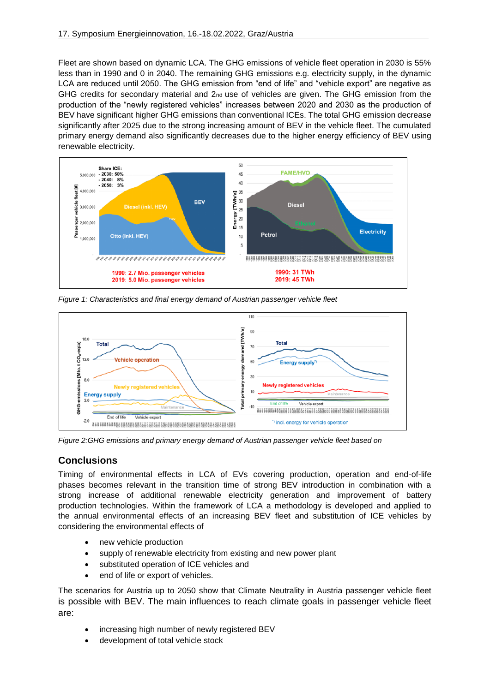Fleet are shown based on dynamic LCA. The GHG emissions of vehicle fleet operation in 2030 is 55% less than in 1990 and 0 in 2040. The remaining GHG emissions e.g. electricity supply, in the dynamic LCA are reduced until 2050. The GHG emission from "end of life" and "vehicle export" are negative as GHG credits for secondary material and 2<sub>nd</sub> use of vehicles are given. The GHG emission from the production of the "newly registered vehicles" increases between 2020 and 2030 as the production of BEV have significant higher GHG emissions than conventional ICEs. The total GHG emission decrease significantly after 2025 due to the strong increasing amount of BEV in the vehicle fleet. The cumulated primary energy demand also significantly decreases due to the higher energy efficiency of BEV using renewable electricity.



*Figure 1: Characteristics and final energy demand of Austrian passenger vehicle fleet*



*Figure 2:GHG emissions and primary energy demand of Austrian passenger vehicle fleet based on*

#### **Conclusions**

Timing of environmental effects in LCA of EVs covering production, operation and end-of-life phases becomes relevant in the transition time of strong BEV introduction in combination with a strong increase of additional renewable electricity generation and improvement of battery production technologies. Within the framework of LCA a methodology is developed and applied to the annual environmental effects of an increasing BEV fleet and substitution of ICE vehicles by considering the environmental effects of

- new vehicle production
- supply of renewable electricity from existing and new power plant
- substituted operation of ICE vehicles and
- end of life or export of vehicles.

The scenarios for Austria up to 2050 show that Climate Neutrality in Austria passenger vehicle fleet is possible with BEV. The main influences to reach climate goals in passenger vehicle fleet are:

- increasing high number of newly registered BEV
- development of total vehicle stock